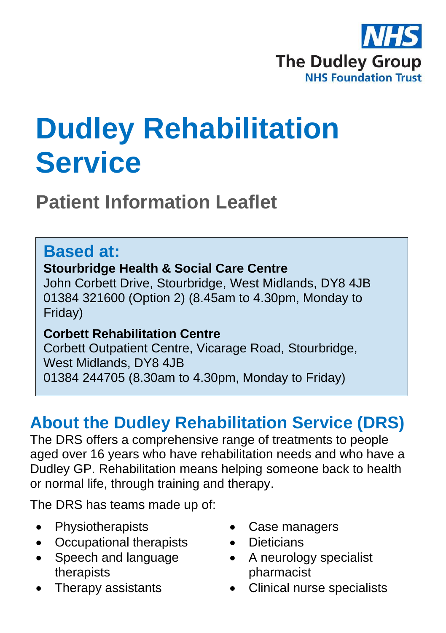

# **Dudley Rehabilitation Service**

**Patient Information Leaflet**

### **Based at:**

#### **Stourbridge Health & Social Care Centre**

John Corbett Drive, Stourbridge, West Midlands, DY8 4JB 01384 321600 (Option 2) (8.45am to 4.30pm, Monday to Friday)

#### **Corbett Rehabilitation Centre**

Corbett Outpatient Centre, Vicarage Road, Stourbridge, West Midlands, DY8 4JB 01384 244705 (8.30am to 4.30pm, Monday to Friday)

### **About the Dudley Rehabilitation Service (DRS)**

The DRS offers a comprehensive range of treatments to people aged over 16 years who have rehabilitation needs and who have a Dudley GP. Rehabilitation means helping someone back to health or normal life, through training and therapy.

The DRS has teams made up of:

- Physiotherapists
- Occupational therapists
- Speech and language therapists
- Therapy assistants
- Case managers
- Dieticians
- A neurology specialist pharmacist
- Clinical nurse specialists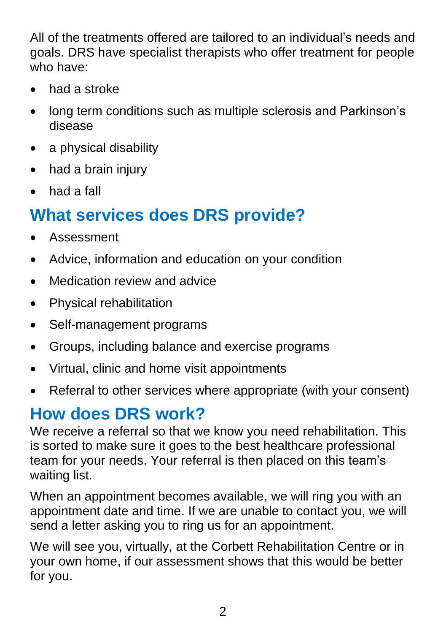All of the treatments offered are tailored to an individual's needs and goals. DRS have specialist therapists who offer treatment for people who have:

- had a stroke
- long term conditions such as multiple sclerosis and Parkinson's disease
- a physical disability
- had a brain injury
- had a fall

## **What services does DRS provide?**

- Assessment
- Advice, information and education on your condition
- Medication review and advice
- Physical rehabilitation
- Self-management programs
- Groups, including balance and exercise programs
- Virtual, clinic and home visit appointments
- Referral to other services where appropriate (with your consent)

### **How does DRS work?**

We receive a referral so that we know you need rehabilitation. This is sorted to make sure it goes to the best healthcare professional team for your needs. Your referral is then placed on this team's waiting list.

When an appointment becomes available, we will ring you with an appointment date and time. If we are unable to contact you, we will send a letter asking you to ring us for an appointment.

We will see you, virtually, at the Corbett Rehabilitation Centre or in your own home, if our assessment shows that this would be better for you.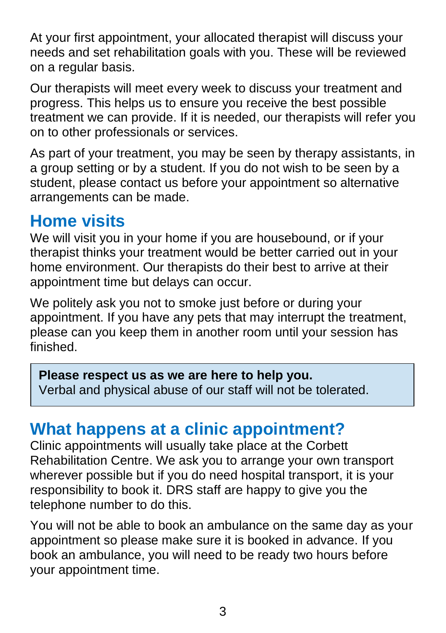At your first appointment, your allocated therapist will discuss your needs and set rehabilitation goals with you. These will be reviewed on a regular basis.

Our therapists will meet every week to discuss your treatment and progress. This helps us to ensure you receive the best possible treatment we can provide. If it is needed, our therapists will refer you on to other professionals or services.

As part of your treatment, you may be seen by therapy assistants, in a group setting or by a student. If you do not wish to be seen by a student, please contact us before your appointment so alternative arrangements can be made.

### **Home visits**

We will visit you in your home if you are housebound, or if your therapist thinks your treatment would be better carried out in your home environment. Our therapists do their best to arrive at their appointment time but delays can occur.

We politely ask you not to smoke just before or during your appointment. If you have any pets that may interrupt the treatment, please can you keep them in another room until your session has finished.

#### **Please respect us as we are here to help you.**

Verbal and physical abuse of our staff will not be tolerated.

### **What happens at a clinic appointment?**

Clinic appointments will usually take place at the Corbett Rehabilitation Centre. We ask you to arrange your own transport wherever possible but if you do need hospital transport, it is your responsibility to book it. DRS staff are happy to give you the telephone number to do this.

You will not be able to book an ambulance on the same day as your appointment so please make sure it is booked in advance. If you book an ambulance, you will need to be ready two hours before your appointment time.